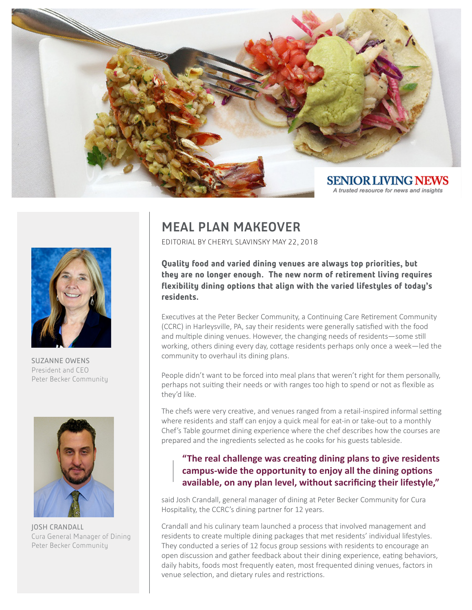



SUZANNE OWENS President and CEO Peter Becker Community



JOSH CRANDALL Cura General Manager of Dining Peter Becker Community

## MEAL PLAN MAKEOVER

EDITORIAL BY CHERYL SLAVINSKY MAY 22, 2018

**Quality food and varied dining venues are always top priorities, but they are no longer enough. The new norm of retirement living requires flexibility dining options that align with the varied lifestyles of today's residents.**

Executives at the Peter Becker Community, a Continuing Care Retirement Community (CCRC) in Harleysville, PA, say their residents were generally satisfied with the food and multiple dining venues. However, the changing needs of residents—some still working, others dining every day, cottage residents perhaps only once a week—led the community to overhaul its dining plans.

People didn't want to be forced into meal plans that weren't right for them personally, perhaps not suiting their needs or with ranges too high to spend or not as flexible as they'd like.

The chefs were very creative, and venues ranged from a retail-inspired informal setting where residents and staff can enjoy a quick meal for eat-in or take-out to a monthly Chef's Table gourmet dining experience where the chef describes how the courses are prepared and the ingredients selected as he cooks for his guests tableside.

## **"The real challenge was creating dining plans to give residents campus-wide the opportunity to enjoy all the dining options available, on any plan level, without sacrificing their lifestyle,"**

said Josh Crandall, general manager of dining at Peter Becker Community for Cura Hospitality, the CCRC's dining partner for 12 years.

Crandall and his culinary team launched a process that involved management and residents to create multiple dining packages that met residents' individual lifestyles. They conducted a series of 12 focus group sessions with residents to encourage an open discussion and gather feedback about their dining experience, eating behaviors, daily habits, foods most frequently eaten, most frequented dining venues, factors in venue selection, and dietary rules and restrictions.